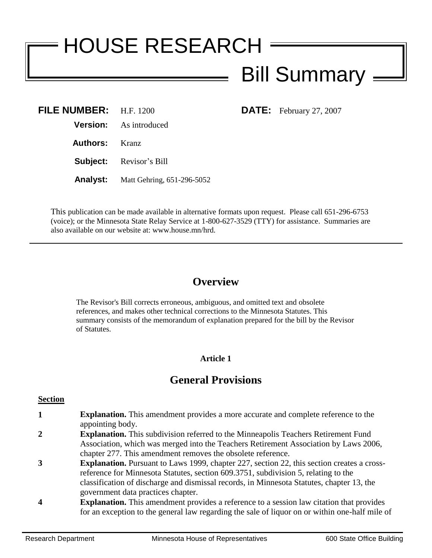# HOUSE RESEARCH Bill Summary

**DATE:** February 27, 2007

| FILE NUMBER: H.F. 1200         |
|--------------------------------|
| <b>Version:</b> As introduced  |
| <b>Authors:</b> Kranz          |
| <b>Subject:</b> Revisor's Bill |
|                                |

**Analyst:** Matt Gehring, 651-296-5052

This publication can be made available in alternative formats upon request. Please call 651-296-6753 (voice); or the Minnesota State Relay Service at 1-800-627-3529 (TTY) for assistance. Summaries are also available on our website at: www.house.mn/hrd.

# **Overview**

The Revisor's Bill corrects erroneous, ambiguous, and omitted text and obsolete references, and makes other technical corrections to the Minnesota Statutes. This summary consists of the memorandum of explanation prepared for the bill by the Revisor of Statutes.

## **Article 1**

## **General Provisions**

#### **Section**

- **1 Explanation.** This amendment provides a more accurate and complete reference to the appointing body.
- **2 Explanation.** This subdivision referred to the Minneapolis Teachers Retirement Fund Association, which was merged into the Teachers Retirement Association by Laws 2006, chapter 277. This amendment removes the obsolete reference.
- **3 Explanation.** Pursuant to Laws 1999, chapter 227, section 22, this section creates a crossreference for Minnesota Statutes, section 609.3751, subdivision 5, relating to the classification of discharge and dismissal records, in Minnesota Statutes, chapter 13, the government data practices chapter.
- **4 Explanation.** This amendment provides a reference to a session law citation that provides for an exception to the general law regarding the sale of liquor on or within one-half mile of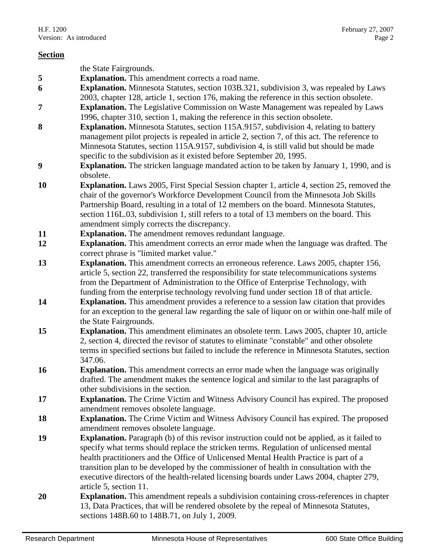|           | the State Fairgrounds.                                                                                                                                                                                                                                                                                                                                                                                                                                                                                |
|-----------|-------------------------------------------------------------------------------------------------------------------------------------------------------------------------------------------------------------------------------------------------------------------------------------------------------------------------------------------------------------------------------------------------------------------------------------------------------------------------------------------------------|
| 5         | Explanation. This amendment corrects a road name.                                                                                                                                                                                                                                                                                                                                                                                                                                                     |
| 6         | <b>Explanation.</b> Minnesota Statutes, section 103B.321, subdivision 3, was repealed by Laws<br>2003, chapter 128, article 1, section 176, making the reference in this section obsolete.                                                                                                                                                                                                                                                                                                            |
| 7         | <b>Explanation.</b> The Legislative Commission on Waste Management was repealed by Laws<br>1996, chapter 310, section 1, making the reference in this section obsolete.                                                                                                                                                                                                                                                                                                                               |
| 8         | <b>Explanation.</b> Minnesota Statutes, section 115A.9157, subdivision 4, relating to battery                                                                                                                                                                                                                                                                                                                                                                                                         |
|           | management pilot projects is repealed in article 2, section 7, of this act. The reference to<br>Minnesota Statutes, section 115A.9157, subdivision 4, is still valid but should be made                                                                                                                                                                                                                                                                                                               |
|           | specific to the subdivision as it existed before September 20, 1995.                                                                                                                                                                                                                                                                                                                                                                                                                                  |
| 9         | <b>Explanation.</b> The stricken language mandated action to be taken by January 1, 1990, and is<br>obsolete.                                                                                                                                                                                                                                                                                                                                                                                         |
| 10        | <b>Explanation.</b> Laws 2005, First Special Session chapter 1, article 4, section 25, removed the<br>chair of the governor's Workforce Development Council from the Minnesota Job Skills<br>Partnership Board, resulting in a total of 12 members on the board. Minnesota Statutes,<br>section 116L.03, subdivision 1, still refers to a total of 13 members on the board. This<br>amendment simply corrects the discrepancy.                                                                        |
| 11        | <b>Explanation.</b> The amendment removes redundant language.                                                                                                                                                                                                                                                                                                                                                                                                                                         |
| 12        | <b>Explanation.</b> This amendment corrects an error made when the language was drafted. The                                                                                                                                                                                                                                                                                                                                                                                                          |
|           | correct phrase is "limited market value."                                                                                                                                                                                                                                                                                                                                                                                                                                                             |
| 13        | <b>Explanation.</b> This amendment corrects an erroneous reference. Laws 2005, chapter 156,<br>article 5, section 22, transferred the responsibility for state telecommunications systems<br>from the Department of Administration to the Office of Enterprise Technology, with<br>funding from the enterprise technology revolving fund under section 18 of that article.                                                                                                                            |
| 14        | <b>Explanation.</b> This amendment provides a reference to a session law citation that provides                                                                                                                                                                                                                                                                                                                                                                                                       |
|           | for an exception to the general law regarding the sale of liquor on or within one-half mile of<br>the State Fairgrounds.                                                                                                                                                                                                                                                                                                                                                                              |
| 15        | Explanation. This amendment eliminates an obsolete term. Laws 2005, chapter 10, article<br>2, section 4, directed the revisor of statutes to eliminate "constable" and other obsolete<br>terms in specified sections but failed to include the reference in Minnesota Statutes, section<br>347.06.                                                                                                                                                                                                    |
| <b>16</b> | <b>Explanation.</b> This amendment corrects an error made when the language was originally                                                                                                                                                                                                                                                                                                                                                                                                            |
|           | drafted. The amendment makes the sentence logical and similar to the last paragraphs of<br>other subdivisions in the section.                                                                                                                                                                                                                                                                                                                                                                         |
| 17        | <b>Explanation.</b> The Crime Victim and Witness Advisory Council has expired. The proposed                                                                                                                                                                                                                                                                                                                                                                                                           |
|           | amendment removes obsolete language.                                                                                                                                                                                                                                                                                                                                                                                                                                                                  |
| 18        | <b>Explanation.</b> The Crime Victim and Witness Advisory Council has expired. The proposed                                                                                                                                                                                                                                                                                                                                                                                                           |
|           | amendment removes obsolete language.                                                                                                                                                                                                                                                                                                                                                                                                                                                                  |
| 19        | <b>Explanation.</b> Paragraph (b) of this revisor instruction could not be applied, as it failed to<br>specify what terms should replace the stricken terms. Regulation of unlicensed mental<br>health practitioners and the Office of Unlicensed Mental Health Practice is part of a<br>transition plan to be developed by the commissioner of health in consultation with the<br>executive directors of the health-related licensing boards under Laws 2004, chapter 279,<br>article 5, section 11. |
| 20        | <b>Explanation.</b> This amendment repeals a subdivision containing cross-references in chapter<br>13, Data Practices, that will be rendered obsolete by the repeal of Minnesota Statutes,<br>sections 148B.60 to 148B.71, on July 1, 2009.                                                                                                                                                                                                                                                           |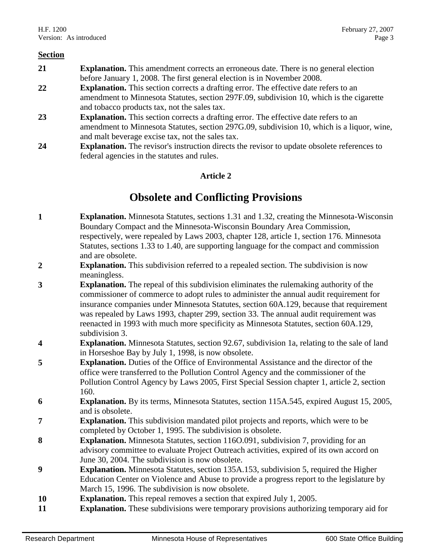- **21 Explanation.** This amendment corrects an erroneous date. There is no general election before January 1, 2008. The first general election is in November 2008.
- **22 Explanation.** This section corrects a drafting error. The effective date refers to an amendment to Minnesota Statutes, section 297F.09, subdivision 10, which is the cigarette and tobacco products tax, not the sales tax.
- **23 Explanation.** This section corrects a drafting error. The effective date refers to an amendment to Minnesota Statutes, section 297G.09, subdivision 10, which is a liquor, wine, and malt beverage excise tax, not the sales tax.
- **24 Explanation.** The revisor's instruction directs the revisor to update obsolete references to federal agencies in the statutes and rules.

## **Article 2**

# **Obsolete and Conflicting Provisions**

- **1 Explanation.** Minnesota Statutes, sections 1.31 and 1.32, creating the Minnesota-Wisconsin Boundary Compact and the Minnesota-Wisconsin Boundary Area Commission, respectively, were repealed by Laws 2003, chapter 128, article 1, section 176. Minnesota Statutes, sections 1.33 to 1.40, are supporting language for the compact and commission and are obsolete.
- **2 Explanation.** This subdivision referred to a repealed section. The subdivision is now meaningless.
- **3 Explanation.** The repeal of this subdivision eliminates the rulemaking authority of the commissioner of commerce to adopt rules to administer the annual audit requirement for insurance companies under Minnesota Statutes, section 60A.129, because that requirement was repealed by Laws 1993, chapter 299, section 33. The annual audit requirement was reenacted in 1993 with much more specificity as Minnesota Statutes, section 60A.129, subdivision 3.
- **4 Explanation.** Minnesota Statutes, section 92.67, subdivision 1a, relating to the sale of land in Horseshoe Bay by July 1, 1998, is now obsolete.
- **5 Explanation.** Duties of the Office of Environmental Assistance and the director of the office were transferred to the Pollution Control Agency and the commissioner of the Pollution Control Agency by Laws 2005, First Special Session chapter 1, article 2, section 160.
- **6 Explanation.** By its terms, Minnesota Statutes, section 115A.545, expired August 15, 2005, and is obsolete.
- **7 Explanation.** This subdivision mandated pilot projects and reports, which were to be completed by October 1, 1995. The subdivision is obsolete.
- **8 Explanation.** Minnesota Statutes, section 116O.091, subdivision 7, providing for an advisory committee to evaluate Project Outreach activities, expired of its own accord on June 30, 2004. The subdivision is now obsolete.
- **9 Explanation.** Minnesota Statutes, section 135A.153, subdivision 5, required the Higher Education Center on Violence and Abuse to provide a progress report to the legislature by March 15, 1996. The subdivision is now obsolete.
- **10 Explanation.** This repeal removes a section that expired July 1, 2005.
- **11 Explanation.** These subdivisions were temporary provisions authorizing temporary aid for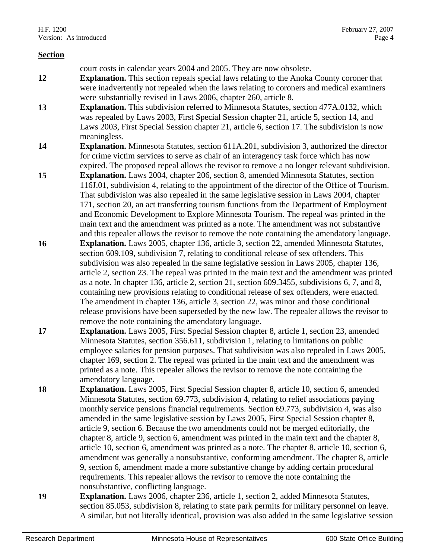court costs in calendar years 2004 and 2005. They are now obsolete. **12 Explanation.** This section repeals special laws relating to the Anoka County coroner that were inadvertently not repealed when the laws relating to coroners and medical examiners were substantially revised in Laws 2006, chapter 260, article 8.

- **13 Explanation.** This subdivision referred to Minnesota Statutes, section 477A.0132, which was repealed by Laws 2003, First Special Session chapter 21, article 5, section 14, and Laws 2003, First Special Session chapter 21, article 6, section 17. The subdivision is now meaningless.
- **14 Explanation.** Minnesota Statutes, section 611A.201, subdivision 3, authorized the director for crime victim services to serve as chair of an interagency task force which has now expired. The proposed repeal allows the revisor to remove a no longer relevant subdivision.
- **15 Explanation.** Laws 2004, chapter 206, section 8, amended Minnesota Statutes, section 116J.01, subdivision 4, relating to the appointment of the director of the Office of Tourism. That subdivision was also repealed in the same legislative session in Laws 2004, chapter 171, section 20, an act transferring tourism functions from the Department of Employment and Economic Development to Explore Minnesota Tourism. The repeal was printed in the main text and the amendment was printed as a note. The amendment was not substantive and this repealer allows the revisor to remove the note containing the amendatory language.
- **16 Explanation.** Laws 2005, chapter 136, article 3, section 22, amended Minnesota Statutes, section 609.109, subdivision 7, relating to conditional release of sex offenders. This subdivision was also repealed in the same legislative session in Laws 2005, chapter 136, article 2, section 23. The repeal was printed in the main text and the amendment was printed as a note. In chapter 136, article 2, section 21, section 609.3455, subdivisions 6, 7, and 8, containing new provisions relating to conditional release of sex offenders, were enacted. The amendment in chapter 136, article 3, section 22, was minor and those conditional release provisions have been superseded by the new law. The repealer allows the revisor to remove the note containing the amendatory language.
- **17 Explanation.** Laws 2005, First Special Session chapter 8, article 1, section 23, amended Minnesota Statutes, section 356.611, subdivision 1, relating to limitations on public employee salaries for pension purposes. That subdivision was also repealed in Laws 2005, chapter 169, section 2. The repeal was printed in the main text and the amendment was printed as a note. This repealer allows the revisor to remove the note containing the amendatory language.
- **18 Explanation.** Laws 2005, First Special Session chapter 8, article 10, section 6, amended Minnesota Statutes, section 69.773, subdivision 4, relating to relief associations paying monthly service pensions financial requirements. Section 69.773, subdivision 4, was also amended in the same legislative session by Laws 2005, First Special Session chapter 8, article 9, section 6. Because the two amendments could not be merged editorially, the chapter 8, article 9, section 6, amendment was printed in the main text and the chapter 8, article 10, section 6, amendment was printed as a note. The chapter 8, article 10, section 6, amendment was generally a nonsubstantive, conforming amendment. The chapter 8, article 9, section 6, amendment made a more substantive change by adding certain procedural requirements. This repealer allows the revisor to remove the note containing the nonsubstantive, conflicting language.
- **19 Explanation.** Laws 2006, chapter 236, article 1, section 2, added Minnesota Statutes, section 85.053, subdivision 8, relating to state park permits for military personnel on leave. A similar, but not literally identical, provision was also added in the same legislative session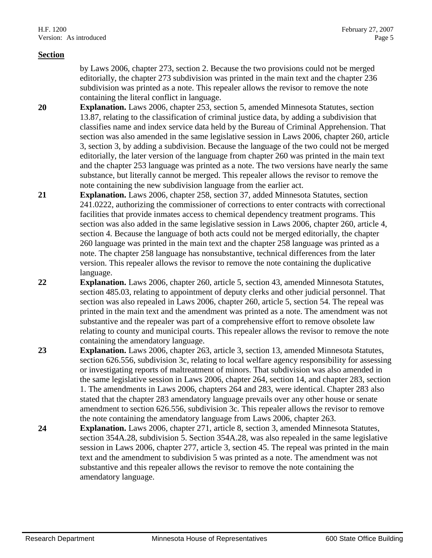by Laws 2006, chapter 273, section 2. Because the two provisions could not be merged editorially, the chapter 273 subdivision was printed in the main text and the chapter 236 subdivision was printed as a note. This repealer allows the revisor to remove the note containing the literal conflict in language.

- **20 Explanation.** Laws 2006, chapter 253, section 5, amended Minnesota Statutes, section 13.87, relating to the classification of criminal justice data, by adding a subdivision that classifies name and index service data held by the Bureau of Criminal Apprehension. That section was also amended in the same legislative session in Laws 2006, chapter 260, article 3, section 3, by adding a subdivision. Because the language of the two could not be merged editorially, the later version of the language from chapter 260 was printed in the main text and the chapter 253 language was printed as a note. The two versions have nearly the same substance, but literally cannot be merged. This repealer allows the revisor to remove the note containing the new subdivision language from the earlier act.
- **21 Explanation.** Laws 2006, chapter 258, section 37, added Minnesota Statutes, section 241.0222, authorizing the commissioner of corrections to enter contracts with correctional facilities that provide inmates access to chemical dependency treatment programs. This section was also added in the same legislative session in Laws 2006, chapter 260, article 4, section 4. Because the language of both acts could not be merged editorially, the chapter 260 language was printed in the main text and the chapter 258 language was printed as a note. The chapter 258 language has nonsubstantive, technical differences from the later version. This repealer allows the revisor to remove the note containing the duplicative language.
- **22 Explanation.** Laws 2006, chapter 260, article 5, section 43, amended Minnesota Statutes, section 485.03, relating to appointment of deputy clerks and other judicial personnel. That section was also repealed in Laws 2006, chapter 260, article 5, section 54. The repeal was printed in the main text and the amendment was printed as a note. The amendment was not substantive and the repealer was part of a comprehensive effort to remove obsolete law relating to county and municipal courts. This repealer allows the revisor to remove the note containing the amendatory language.
- **23 Explanation.** Laws 2006, chapter 263, article 3, section 13, amended Minnesota Statutes, section 626.556, subdivision 3c, relating to local welfare agency responsibility for assessing or investigating reports of maltreatment of minors. That subdivision was also amended in the same legislative session in Laws 2006, chapter 264, section 14, and chapter 283, section 1. The amendments in Laws 2006, chapters 264 and 283, were identical. Chapter 283 also stated that the chapter 283 amendatory language prevails over any other house or senate amendment to section 626.556, subdivision 3c. This repealer allows the revisor to remove the note containing the amendatory language from Laws 2006, chapter 263.
- **24 Explanation.** Laws 2006, chapter 271, article 8, section 3, amended Minnesota Statutes, section 354A.28, subdivision 5. Section 354A.28, was also repealed in the same legislative session in Laws 2006, chapter 277, article 3, section 45. The repeal was printed in the main text and the amendment to subdivision 5 was printed as a note. The amendment was not substantive and this repealer allows the revisor to remove the note containing the amendatory language.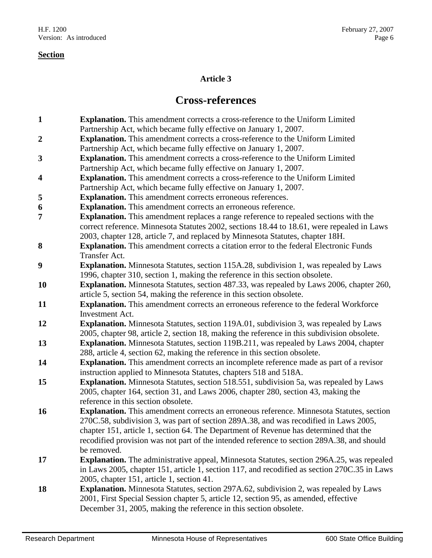## **Article 3**

# **Cross-references**

- **1 Explanation.** This amendment corrects a cross-reference to the Uniform Limited Partnership Act, which became fully effective on January 1, 2007. **2 Explanation.** This amendment corrects a cross-reference to the Uniform Limited Partnership Act, which became fully effective on January 1, 2007. **3 Explanation.** This amendment corrects a cross-reference to the Uniform Limited Partnership Act, which became fully effective on January 1, 2007. **4 Explanation.** This amendment corrects a cross-reference to the Uniform Limited Partnership Act, which became fully effective on January 1, 2007. **5 Explanation.** This amendment corrects erroneous references. **6 Explanation.** This amendment corrects an erroneous reference. **7 Explanation.** This amendment replaces a range reference to repealed sections with the correct reference. Minnesota Statutes 2002, sections 18.44 to 18.61, were repealed in Laws 2003, chapter 128, article 7, and replaced by Minnesota Statutes, chapter 18H. **8 Explanation.** This amendment corrects a citation error to the federal Electronic Funds Transfer Act.
- **9 Explanation.** Minnesota Statutes, section 115A.28, subdivision 1, was repealed by Laws 1996, chapter 310, section 1, making the reference in this section obsolete.
- **10 Explanation.** Minnesota Statutes, section 487.33, was repealed by Laws 2006, chapter 260, article 5, section 54, making the reference in this section obsolete.
- **11 Explanation.** This amendment corrects an erroneous reference to the federal Workforce Investment Act.
- **12 Explanation.** Minnesota Statutes, section 119A.01, subdivision 3, was repealed by Laws 2005, chapter 98, article 2, section 18, making the reference in this subdivision obsolete.
- **13 Explanation.** Minnesota Statutes, section 119B.211, was repealed by Laws 2004, chapter 288, article 4, section 62, making the reference in this section obsolete.
- **14 Explanation.** This amendment corrects an incomplete reference made as part of a revisor instruction applied to Minnesota Statutes, chapters 518 and 518A.
- **15 Explanation.** Minnesota Statutes, section 518.551, subdivision 5a, was repealed by Laws 2005, chapter 164, section 31, and Laws 2006, chapter 280, section 43, making the reference in this section obsolete.
- **16 Explanation.** This amendment corrects an erroneous reference. Minnesota Statutes, section 270C.58, subdivision 3, was part of section 289A.38, and was recodified in Laws 2005, chapter 151, article 1, section 64. The Department of Revenue has determined that the recodified provision was not part of the intended reference to section 289A.38, and should be removed.
- **17 Explanation.** The administrative appeal, Minnesota Statutes, section 296A.25, was repealed in Laws 2005, chapter 151, article 1, section 117, and recodified as section 270C.35 in Laws 2005, chapter 151, article 1, section 41.
- **18 Explanation.** Minnesota Statutes, section 297A.62, subdivision 2, was repealed by Laws 2001, First Special Session chapter 5, article 12, section 95, as amended, effective December 31, 2005, making the reference in this section obsolete.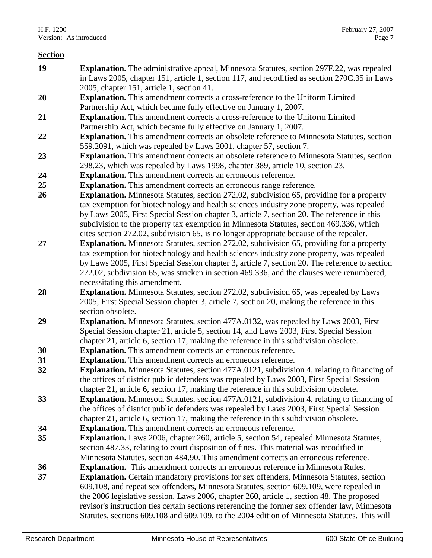- **19 Explanation.** The administrative appeal, Minnesota Statutes, section 297F.22, was repealed in Laws 2005, chapter 151, article 1, section 117, and recodified as section 270C.35 in Laws 2005, chapter 151, article 1, section 41.
- **20 Explanation.** This amendment corrects a cross-reference to the Uniform Limited Partnership Act, which became fully effective on January 1, 2007.
- **21 Explanation.** This amendment corrects a cross-reference to the Uniform Limited Partnership Act, which became fully effective on January 1, 2007.
- **22 Explanation.** This amendment corrects an obsolete reference to Minnesota Statutes, section 559.2091, which was repealed by Laws 2001, chapter 57, section 7.
- **23 Explanation.** This amendment corrects an obsolete reference to Minnesota Statutes, section 298.23, which was repealed by Laws 1998, chapter 389, article 10, section 23.
- **24 Explanation.** This amendment corrects an erroneous reference.
- **25 Explanation.** This amendment corrects an erroneous range reference.
- **26 Explanation.** Minnesota Statutes, section 272.02, subdivision 65, providing for a property tax exemption for biotechnology and health sciences industry zone property, was repealed by Laws 2005, First Special Session chapter 3, article 7, section 20. The reference in this subdivision to the property tax exemption in Minnesota Statutes, section 469.336, which cites section 272.02, subdivision 65, is no longer appropriate because of the repealer.
- **27 Explanation.** Minnesota Statutes, section 272.02, subdivision 65, providing for a property tax exemption for biotechnology and health sciences industry zone property, was repealed by Laws 2005, First Special Session chapter 3, article 7, section 20. The reference to section 272.02, subdivision 65, was stricken in section 469.336, and the clauses were renumbered, necessitating this amendment.
- **28 Explanation.** Minnesota Statutes, section 272.02, subdivision 65, was repealed by Laws 2005, First Special Session chapter 3, article 7, section 20, making the reference in this section obsolete.
- **29 Explanation.** Minnesota Statutes, section 477A.0132, was repealed by Laws 2003, First Special Session chapter 21, article 5, section 14, and Laws 2003, First Special Session chapter 21, article 6, section 17, making the reference in this subdivision obsolete.
- **30 Explanation.** This amendment corrects an erroneous reference.
- **31 Explanation.** This amendment corrects an erroneous reference.
- **32 Explanation.** Minnesota Statutes, section 477A.0121, subdivision 4, relating to financing of the offices of district public defenders was repealed by Laws 2003, First Special Session chapter 21, article 6, section 17, making the reference in this subdivision obsolete.
- **33 Explanation.** Minnesota Statutes, section 477A.0121, subdivision 4, relating to financing of the offices of district public defenders was repealed by Laws 2003, First Special Session chapter 21, article 6, section 17, making the reference in this subdivision obsolete.
- **34 Explanation.** This amendment corrects an erroneous reference.
- **35 Explanation.** Laws 2006, chapter 260, article 5, section 54, repealed Minnesota Statutes, section 487.33, relating to court disposition of fines. This material was recodified in Minnesota Statutes, section 484.90. This amendment corrects an erroneous reference.
- **36 Explanation.** This amendment corrects an erroneous reference in Minnesota Rules.
- **37 Explanation.** Certain mandatory provisions for sex offenders, Minnesota Statutes, section 609.108, and repeat sex offenders, Minnesota Statutes, section 609.109, were repealed in the 2006 legislative session, Laws 2006, chapter 260, article 1, section 48. The proposed revisor's instruction ties certain sections referencing the former sex offender law, Minnesota Statutes, sections 609.108 and 609.109, to the 2004 edition of Minnesota Statutes. This will